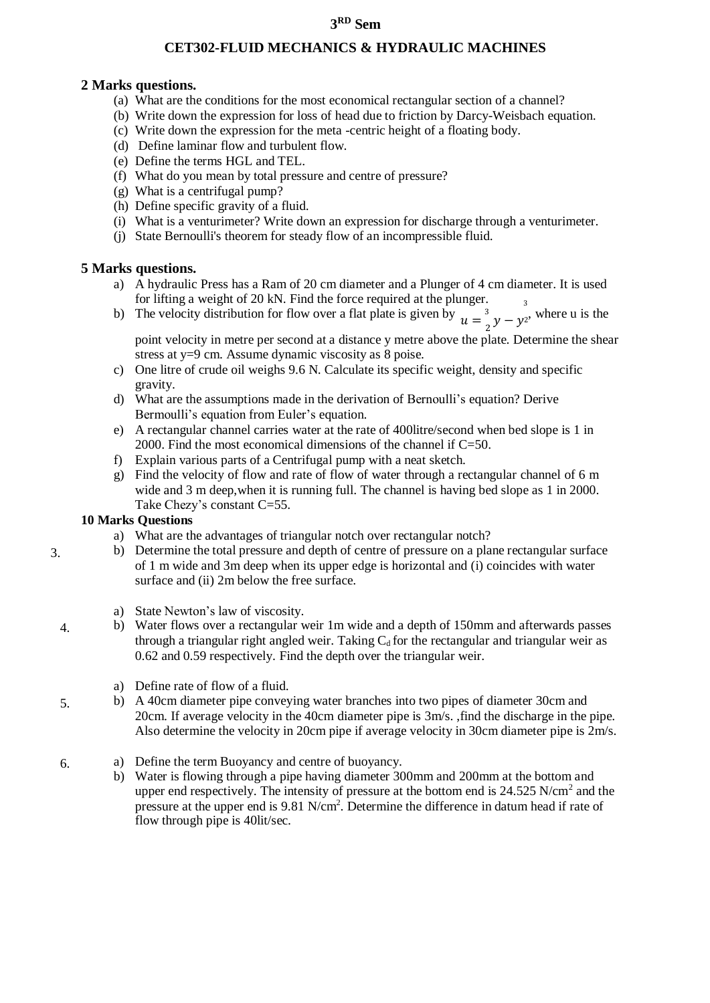# **3 RD Sem**

### **CET302-FLUID MECHANICS & HYDRAULIC MACHINES**

#### **2 Marks questions.**

- (a) What are the conditions for the most economical rectangular section of a channel?
- (b) Write down the expression for loss of head due to friction by Darcy-Weisbach equation.
- (c) Write down the expression for the meta -centric height of a floating body.
- (d) Define laminar flow and turbulent flow.
- (e) Define the terms HGL and TEL.
- (f) What do you mean by total pressure and centre of pressure?
- (g) What is a centrifugal pump?
- (h) Define specific gravity of a fluid.
- (i) What is a venturimeter? Write down an expression for discharge through a venturimeter.
- (j) State Bernoulli's theorem for steady flow of an incompressible fluid.

### **5 Marks questions.**

- a) A hydraulic Press has a Ram of 20 cm diameter and a Plunger of 4 cm diameter. It is used for lifting a weight of 20 kN. Find the force required at the plunger.
- b) The velocity distribution for flow over a flat plate is given by  $u = \frac{3}{2}y y^2$ , where u is the

point velocity in metre per second at a distance y metre above the plate. Determine the shear stress at y=9 cm. Assume dynamic viscosity as 8 poise.

- c) One litre of crude oil weighs 9.6 N. Calculate its specific weight, density and specific gravity.
- d) What are the assumptions made in the derivation of Bernoulli's equation? Derive Bermoulli's equation from Euler's equation.
- e) A rectangular channel carries water at the rate of 400litre/second when bed slope is 1 in 2000. Find the most economical dimensions of the channel if C=50.
- f) Explain various parts of a Centrifugal pump with a neat sketch.
- g) Find the velocity of flow and rate of flow of water through a rectangular channel of 6 m wide and 3 m deep,when it is running full. The channel is having bed slope as 1 in 2000. Take Chezy's constant C=55.

## **10 Marks Questions**

3.

4.

- a) What are the advantages of triangular notch over rectangular notch?
- b) Determine the total pressure and depth of centre of pressure on a plane rectangular surface of 1 m wide and 3m deep when its upper edge is horizontal and (i) coincides with water surface and (ii) 2m below the free surface.
	- a) State Newton's law of viscosity.
- b) Water flows over a rectangular weir 1m wide and a depth of 150mm and afterwards passes through a triangular right angled weir. Taking  $C_d$  for the rectangular and triangular weir as 0.62 and 0.59 respectively. Find the depth over the triangular weir.
	- a) Define rate of flow of a fluid.
- 5. b) A 40cm diameter pipe conveying water branches into two pipes of diameter 30cm and 20cm. If average velocity in the 40cm diameter pipe is 3m/s. ,find the discharge in the pipe. Also determine the velocity in 20cm pipe if average velocity in 30cm diameter pipe is 2m/s.
- 6. a) Define the term Buoyancy and centre of buoyancy.
	- b) Water is flowing through a pipe having diameter 300mm and 200mm at the bottom and upper end respectively. The intensity of pressure at the bottom end is  $24.525$  N/cm<sup>2</sup> and the pressure at the upper end is 9.81 N/cm<sup>2</sup>. Determine the difference in datum head if rate of flow through pipe is 40lit/sec.